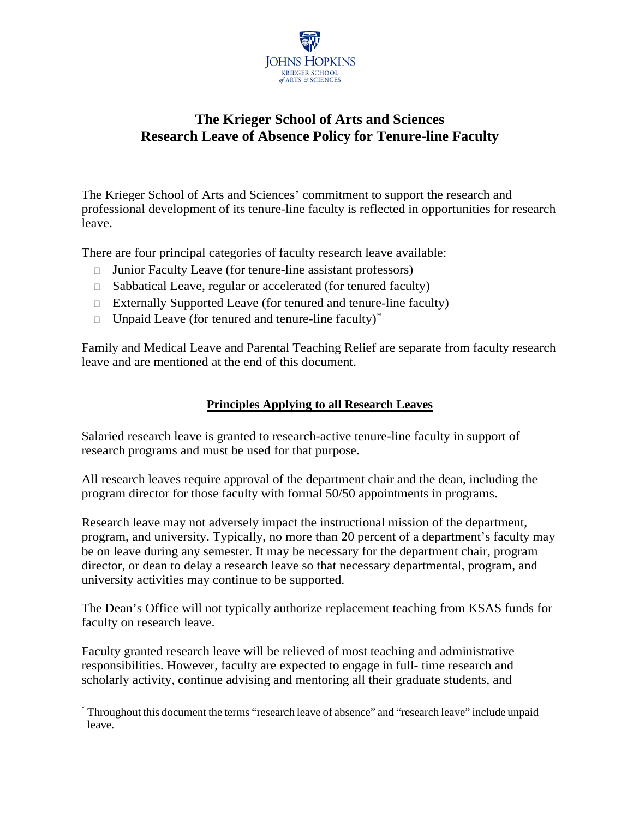

# **The Krieger School of Arts and Sciences Research Leave of Absence Policy for Tenure-line Faculty**

The Krieger School of Arts and Sciences' commitment to support the research and professional development of its tenure-line faculty is reflected in opportunities for research leave.

There are four principal categories of faculty research leave available:

- $\Box$  Junior Faculty Leave (for tenure-line assistant professors)
- $\Box$  Sabbatical Leave, regular or accelerated (for tenured faculty)
- $\Box$  Externally Supported Leave (for tenured and tenure-line faculty)
- $\Box$  Unpaid Leave (for tenured and tenure-line faculty)<sup>[\\*](#page-0-0)</sup>

Family and Medical Leave and Parental Teaching Relief are separate from faculty research leave and are mentioned at the end of this document.

#### **Principles Applying to all Research Leaves**

Salaried research leave is granted to research-active tenure-line faculty in support of research programs and must be used for that purpose.

All research leaves require approval of the department chair and the dean, including the program director for those faculty with formal 50/50 appointments in programs.

Research leave may not adversely impact the instructional mission of the department, program, and university. Typically, no more than 20 percent of a department's faculty may be on leave during any semester. It may be necessary for the department chair, program director, or dean to delay a research leave so that necessary departmental, program, and university activities may continue to be supported.

The Dean's Office will not typically authorize replacement teaching from KSAS funds for faculty on research leave.

Faculty granted research leave will be relieved of most teaching and administrative responsibilities. However, faculty are expected to engage in full- time research and scholarly activity, continue advising and mentoring all their graduate students, and

<span id="page-0-0"></span>1

<sup>\*</sup> Throughout this document the terms "research leave of absence" and "research leave" include unpaid leave.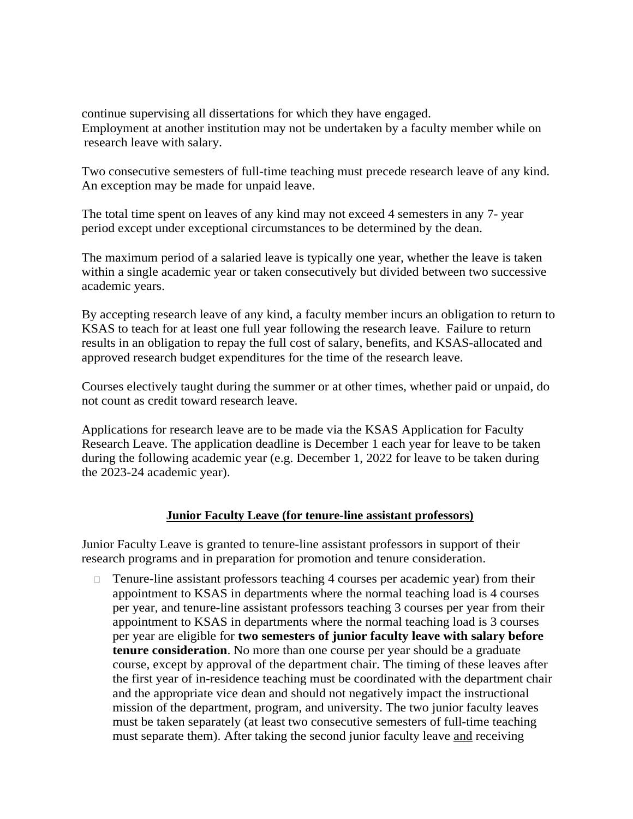continue supervising all dissertations for which they have engaged. Employment at another institution may not be undertaken by a faculty member while on research leave with salary.

Two consecutive semesters of full-time teaching must precede research leave of any kind. An exception may be made for unpaid leave.

The total time spent on leaves of any kind may not exceed 4 semesters in any 7- year period except under exceptional circumstances to be determined by the dean.

The maximum period of a salaried leave is typically one year, whether the leave is taken within a single academic year or taken consecutively but divided between two successive academic years.

By accepting research leave of any kind, a faculty member incurs an obligation to return to KSAS to teach for at least one full year following the research leave. Failure to return results in an obligation to repay the full cost of salary, benefits, and KSAS-allocated and approved research budget expenditures for the time of the research leave.

Courses electively taught during the summer or at other times, whether paid or unpaid, do not count as credit toward research leave.

Applications for research leave are to be made via the KSAS Application for Faculty Research Leave. The application deadline is December 1 each year for leave to be taken during the following academic year (e.g. December 1, 2022 for leave to be taken during the 2023-24 academic year).

#### **Junior Faculty Leave (for tenure-line assistant professors)**

Junior Faculty Leave is granted to tenure-line assistant professors in support of their research programs and in preparation for promotion and tenure consideration.

□ Tenure-line assistant professors teaching 4 courses per academic year) from their appointment to KSAS in departments where the normal teaching load is 4 courses per year, and tenure-line assistant professors teaching 3 courses per year from their appointment to KSAS in departments where the normal teaching load is 3 courses per year are eligible for **two semesters of junior faculty leave with salary before tenure consideration**. No more than one course per year should be a graduate course, except by approval of the department chair. The timing of these leaves after the first year of in-residence teaching must be coordinated with the department chair and the appropriate vice dean and should not negatively impact the instructional mission of the department, program, and university. The two junior faculty leaves must be taken separately (at least two consecutive semesters of full-time teaching must separate them). After taking the second junior faculty leave and receiving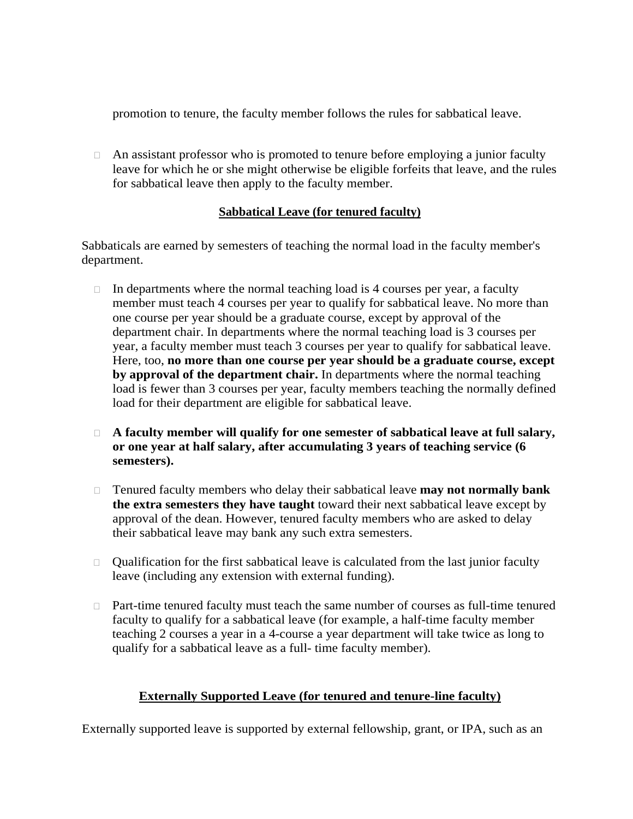promotion to tenure, the faculty member follows the rules for sabbatical leave.

 $\Box$  An assistant professor who is promoted to tenure before employing a junior faculty leave for which he or she might otherwise be eligible forfeits that leave, and the rules for sabbatical leave then apply to the faculty member.

#### **Sabbatical Leave (for tenured faculty)**

Sabbaticals are earned by semesters of teaching the normal load in the faculty member's department.

- $\Box$  In departments where the normal teaching load is 4 courses per year, a faculty member must teach 4 courses per year to qualify for sabbatical leave. No more than one course per year should be a graduate course, except by approval of the department chair. In departments where the normal teaching load is 3 courses per year, a faculty member must teach 3 courses per year to qualify for sabbatical leave. Here, too, **no more than one course per year should be a graduate course, except by approval of the department chair.** In departments where the normal teaching load is fewer than 3 courses per year, faculty members teaching the normally defined load for their department are eligible for sabbatical leave.
- **A faculty member will qualify for one semester of sabbatical leave at full salary, or one year at half salary, after accumulating 3 years of teaching service (6 semesters).**
- Tenured faculty members who delay their sabbatical leave **may not normally bank the extra semesters they have taught** toward their next sabbatical leave except by approval of the dean. However, tenured faculty members who are asked to delay their sabbatical leave may bank any such extra semesters.
- $\Box$  Qualification for the first sabbatical leave is calculated from the last junior faculty leave (including any extension with external funding).
- $\Box$  Part-time tenured faculty must teach the same number of courses as full-time tenured faculty to qualify for a sabbatical leave (for example, a half-time faculty member teaching 2 courses a year in a 4-course a year department will take twice as long to qualify for a sabbatical leave as a full- time faculty member).

### **Externally Supported Leave (for tenured and tenure-line faculty)**

Externally supported leave is supported by external fellowship, grant, or IPA, such as an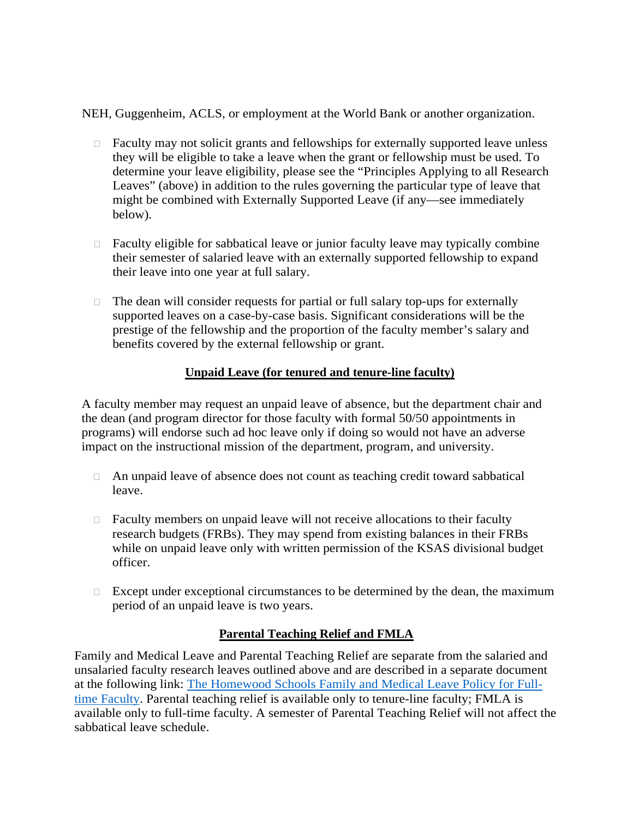NEH, Guggenheim, ACLS, or employment at the World Bank or another organization.

- $\Box$  Faculty may not solicit grants and fellowships for externally supported leave unless they will be eligible to take a leave when the grant or fellowship must be used. To determine your leave eligibility, please see the "Principles Applying to all Research Leaves" (above) in addition to the rules governing the particular type of leave that might be combined with Externally Supported Leave (if any—see immediately below).
- $\Box$  Faculty eligible for sabbatical leave or junior faculty leave may typically combine their semester of salaried leave with an externally supported fellowship to expand their leave into one year at full salary.
- □ The dean will consider requests for partial or full salary top-ups for externally supported leaves on a case-by-case basis. Significant considerations will be the prestige of the fellowship and the proportion of the faculty member's salary and benefits covered by the external fellowship or grant.

### **Unpaid Leave (for tenured and tenure-line faculty)**

A faculty member may request an unpaid leave of absence, but the department chair and the dean (and program director for those faculty with formal 50/50 appointments in programs) will endorse such ad hoc leave only if doing so would not have an adverse impact on the instructional mission of the department, program, and university.

- An unpaid leave of absence does not count as teaching credit toward sabbatical leave.
- $\Box$  Faculty members on unpaid leave will not receive allocations to their faculty research budgets (FRBs). They may spend from existing balances in their FRBs while on unpaid leave only with written permission of the KSAS divisional budget officer.
- $\Box$  Except under exceptional circumstances to be determined by the dean, the maximum period of an unpaid leave is two years.

# **Parental Teaching Relief and FMLA**

Family and Medical Leave and Parental Teaching Relief are separate from the salaried and unsalaried faculty research leaves outlined above and are described in a separate document at the following link: [The Homewood Schools Family and Medical Leave Policy for Full](https://academiccouncil.jhu.edu/files/2021/01/Homewood-Faculty-FML-Policy_1-25-21.pdf)[time Faculty.](https://academiccouncil.jhu.edu/files/2021/01/Homewood-Faculty-FML-Policy_1-25-21.pdf) Parental teaching relief is available only to tenure-line faculty; FMLA is available only to full-time faculty. A semester of Parental Teaching Relief will not affect the sabbatical leave schedule.